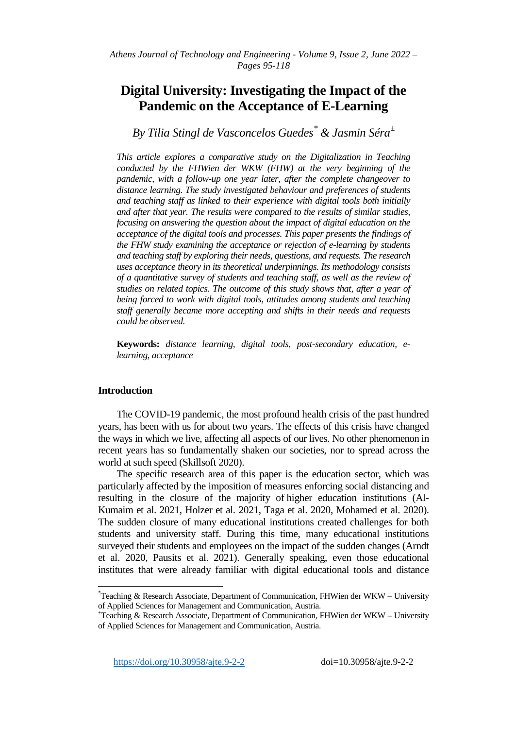# **Digital University: Investigating the Impact of the Pandemic on the Acceptance of E-Learning**

*By Tilia Stingl de Vasconcelos Guedes[\\*](#page-0-0) & Jasmin Séra[±](#page-0-1)*

*This article explores a comparative study on the Digitalization in Teaching conducted by the FHWien der WKW (FHW) at the very beginning of the pandemic, with a follow-up one year later, after the complete changeover to distance learning. The study investigated behaviour and preferences of students and teaching staff as linked to their experience with digital tools both initially and after that year. The results were compared to the results of similar studies, focusing on answering the question about the impact of digital education on the acceptance of the digital tools and processes. This paper presents the findings of the FHW study examining the acceptance or rejection of e-learning by students and teaching staff by exploring their needs, questions, and requests. The research uses acceptance theory in its theoretical underpinnings. Its methodology consists of a quantitative survey of students and teaching staff, as well as the review of studies on related topics. The outcome of this study shows that, after a year of being forced to work with digital tools, attitudes among students and teaching staff generally became more accepting and shifts in their needs and requests could be observed.*

**Keywords:** *distance learning, digital tools, post-secondary education, elearning, acceptance* 

# **Introduction**

The COVID-19 pandemic, the most profound health crisis of the past hundred years, has been with us for about two years. The effects of this crisis have changed the ways in which we live, affecting all aspects of our lives. No other phenomenon in recent years has so fundamentally shaken our societies, nor to spread across the world at such speed (Skillsoft 2020).

The specific research area of this paper is the education sector, which was particularly affected by the imposition of measures enforcing social distancing and resulting in the closure of the majority of higher education institutions (Al-Kumaim et al. 2021, Holzer et al. 2021, Taga et al. 2020, Mohamed et al. 2020). The sudden closure of many educational institutions created challenges for both students and university staff. During this time, many educational institutions surveyed their students and employees on the impact of the sudden changes (Arndt et al. 2020, Pausits et al. 2021). Generally speaking, even those educational institutes that were already familiar with digital educational tools and distance

<span id="page-0-0"></span>\*  $*$ Teaching & Research Associate, Department of Communication, FHWien der WKW – University of Applied Sciences for Management and Communication, Austria. <sup>±</sup>

<span id="page-0-1"></span> $T$ Teaching & Research Associate, Department of Communication, FHWien der WKW – University of Applied Sciences for Management and Communication, Austria.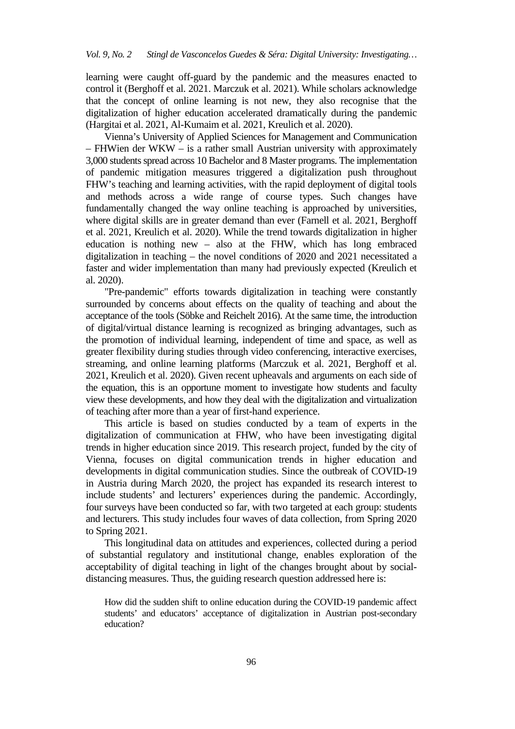learning were caught off-guard by the pandemic and the measures enacted to control it (Berghoff et al. 2021. Marczuk et al. 2021). While scholars acknowledge that the concept of online learning is not new, they also recognise that the digitalization of higher education accelerated dramatically during the pandemic (Hargitai et al. 2021, Al-Kumaim et al. 2021, Kreulich et al. 2020).

Vienna's University of Applied Sciences for Management and Communication – FHWien der WKW – is a rather small Austrian university with approximately 3,000 students spread across 10 Bachelor and 8 Master programs. The implementation of pandemic mitigation measures triggered a digitalization push throughout FHW's teaching and learning activities, with the rapid deployment of digital tools and methods across a wide range of course types. Such changes have fundamentally changed the way online teaching is approached by universities, where digital skills are in greater demand than ever (Farnell et al. 2021, Berghoff et al. 2021, Kreulich et al. 2020). While the trend towards digitalization in higher education is nothing new – also at the FHW, which has long embraced digitalization in teaching – the novel conditions of 2020 and 2021 necessitated a faster and wider implementation than many had previously expected (Kreulich et al. 2020).

"Pre-pandemic" efforts towards digitalization in teaching were constantly surrounded by concerns about effects on the quality of teaching and about the acceptance of the tools (Söbke and Reichelt 2016). At the same time, the introduction of digital/virtual distance learning is recognized as bringing advantages, such as the promotion of individual learning, independent of time and space, as well as greater flexibility during studies through video conferencing, interactive exercises, streaming, and online learning platforms (Marczuk et al. 2021, Berghoff et al. 2021, Kreulich et al. 2020). Given recent upheavals and arguments on each side of the equation, this is an opportune moment to investigate how students and faculty view these developments, and how they deal with the digitalization and virtualization of teaching after more than a year of first-hand experience.

This article is based on studies conducted by a team of experts in the digitalization of communication at FHW, who have been investigating digital trends in higher education since 2019. This research project, funded by the city of Vienna, focuses on digital communication trends in higher education and developments in digital communication studies. Since the outbreak of COVID-19 in Austria during March 2020, the project has expanded its research interest to include students' and lecturers' experiences during the pandemic. Accordingly, four surveys have been conducted so far, with two targeted at each group: students and lecturers. This study includes four waves of data collection, from Spring 2020 to Spring 2021.

This longitudinal data on attitudes and experiences, collected during a period of substantial regulatory and institutional change, enables exploration of the acceptability of digital teaching in light of the changes brought about by socialdistancing measures. Thus, the guiding research question addressed here is:

How did the sudden shift to online education during the COVID-19 pandemic affect students' and educators' acceptance of digitalization in Austrian post-secondary education?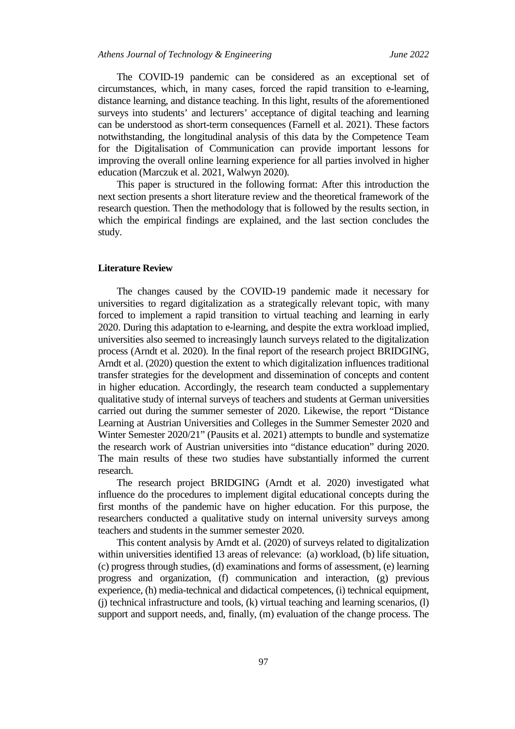The COVID-19 pandemic can be considered as an exceptional set of circumstances, which, in many cases, forced the rapid transition to e-learning, distance learning, and distance teaching. In this light, results of the aforementioned surveys into students' and lecturers' acceptance of digital teaching and learning can be understood as short-term consequences (Farnell et al. 2021). These factors notwithstanding, the longitudinal analysis of this data by the Competence Team for the Digitalisation of Communication can provide important lessons for improving the overall online learning experience for all parties involved in higher education (Marczuk et al. 2021, Walwyn 2020).

This paper is structured in the following format: After this introduction the next section presents a short literature review and the theoretical framework of the research question. Then the methodology that is followed by the results section, in which the empirical findings are explained, and the last section concludes the study.

#### **Literature Review**

The changes caused by the COVID-19 pandemic made it necessary for universities to regard digitalization as a strategically relevant topic, with many forced to implement a rapid transition to virtual teaching and learning in early 2020. During this adaptation to e-learning, and despite the extra workload implied, universities also seemed to increasingly launch surveys related to the digitalization process (Arndt et al. 2020). In the final report of the research project BRIDGING, Arndt et al. (2020) question the extent to which digitalization influences traditional transfer strategies for the development and dissemination of concepts and content in higher education. Accordingly, the research team conducted a supplementary qualitative study of internal surveys of teachers and students at German universities carried out during the summer semester of 2020. Likewise, the report "Distance Learning at Austrian Universities and Colleges in the Summer Semester 2020 and Winter Semester 2020/21" (Pausits et al. 2021) attempts to bundle and systematize the research work of Austrian universities into "distance education" during 2020. The main results of these two studies have substantially informed the current research.

The research project BRIDGING (Arndt et al. 2020) investigated what influence do the procedures to implement digital educational concepts during the first months of the pandemic have on higher education. For this purpose, the researchers conducted a qualitative study on internal university surveys among teachers and students in the summer semester 2020.

This content analysis by Arndt et al. (2020) of surveys related to digitalization within universities identified 13 areas of relevance: (a) workload, (b) life situation, (c) progress through studies, (d) examinations and forms of assessment, (e) learning progress and organization, (f) communication and interaction, (g) previous experience, (h) media-technical and didactical competences, (i) technical equipment,  $(i)$  technical infrastructure and tools,  $(k)$  virtual teaching and learning scenarios,  $(l)$ support and support needs, and, finally, (m) evaluation of the change process. The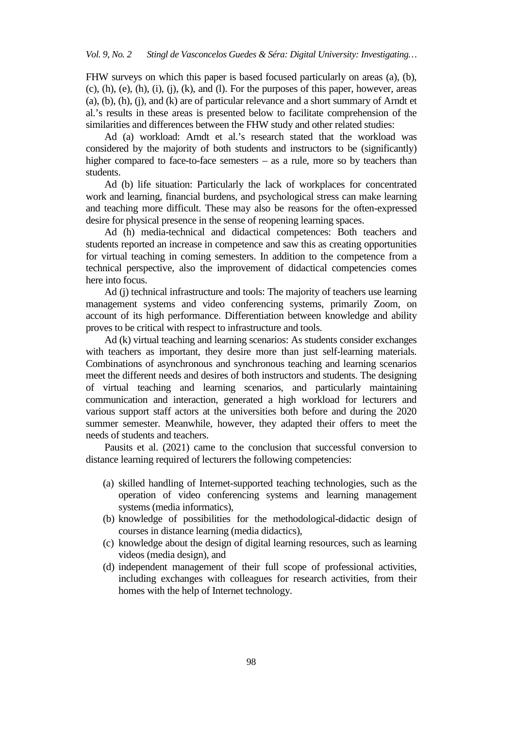FHW surveys on which this paper is based focused particularly on areas (a), (b),  $(c)$ ,  $(h)$ ,  $(e)$ ,  $(h)$ ,  $(i)$ ,  $(i)$ ,  $(k)$ , and  $(l)$ . For the purposes of this paper, however, areas (a), (b), (h), (j), and (k) are of particular relevance and a short summary of Arndt et al.'s results in these areas is presented below to facilitate comprehension of the similarities and differences between the FHW study and other related studies:

Ad (a) workload: Arndt et al.'s research stated that the workload was considered by the majority of both students and instructors to be (significantly) higher compared to face-to-face semesters – as a rule, more so by teachers than students.

Ad (b) life situation: Particularly the lack of workplaces for concentrated work and learning, financial burdens, and psychological stress can make learning and teaching more difficult. These may also be reasons for the often-expressed desire for physical presence in the sense of reopening learning spaces.

Ad (h) media-technical and didactical competences: Both teachers and students reported an increase in competence and saw this as creating opportunities for virtual teaching in coming semesters. In addition to the competence from a technical perspective, also the improvement of didactical competencies comes here into focus.

Ad (j) technical infrastructure and tools: The majority of teachers use learning management systems and video conferencing systems, primarily Zoom, on account of its high performance. Differentiation between knowledge and ability proves to be critical with respect to infrastructure and tools.

Ad (k) virtual teaching and learning scenarios: As students consider exchanges with teachers as important, they desire more than just self-learning materials. Combinations of asynchronous and synchronous teaching and learning scenarios meet the different needs and desires of both instructors and students. The designing of virtual teaching and learning scenarios, and particularly maintaining communication and interaction, generated a high workload for lecturers and various support staff actors at the universities both before and during the 2020 summer semester. Meanwhile, however, they adapted their offers to meet the needs of students and teachers.

Pausits et al. (2021) came to the conclusion that successful conversion to distance learning required of lecturers the following competencies:

- (a) skilled handling of Internet-supported teaching technologies, such as the operation of video conferencing systems and learning management systems (media informatics),
- (b) knowledge of possibilities for the methodological-didactic design of courses in distance learning (media didactics),
- (c) knowledge about the design of digital learning resources, such as learning videos (media design), and
- (d) independent management of their full scope of professional activities, including exchanges with colleagues for research activities, from their homes with the help of Internet technology.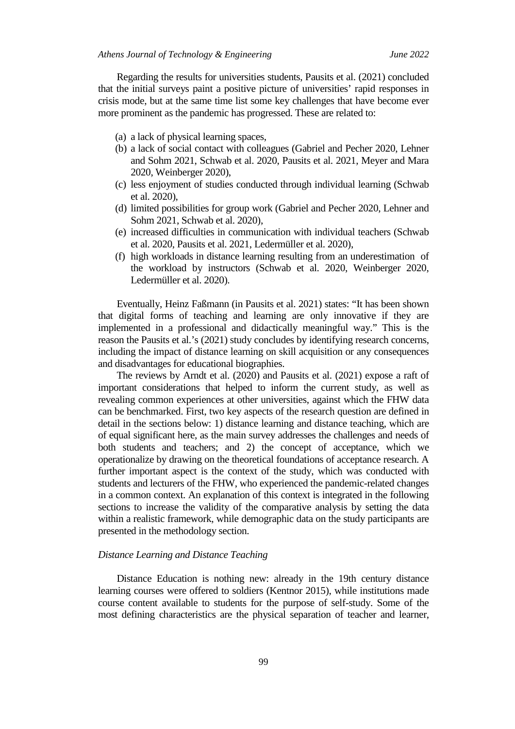Regarding the results for universities students, Pausits et al. (2021) concluded that the initial surveys paint a positive picture of universities' rapid responses in crisis mode, but at the same time list some key challenges that have become ever more prominent as the pandemic has progressed. These are related to:

- (a) a lack of physical learning spaces,
- (b) a lack of social contact with colleagues (Gabriel and Pecher 2020, Lehner and Sohm 2021, Schwab et al. 2020, Pausits et al. 2021, Meyer and Mara 2020, Weinberger 2020),
- (c) less enjoyment of studies conducted through individual learning (Schwab et al. 2020),
- (d) limited possibilities for group work (Gabriel and Pecher 2020, Lehner and Sohm 2021, Schwab et al. 2020),
- (e) increased difficulties in communication with individual teachers (Schwab et al. 2020, Pausits et al. 2021, Ledermüller et al. 2020),
- (f) high workloads in distance learning resulting from an underestimation of the workload by instructors (Schwab et al. 2020, Weinberger 2020, Ledermüller et al. 2020).

Eventually, Heinz Faßmann (in Pausits et al. 2021) states: "It has been shown that digital forms of teaching and learning are only innovative if they are implemented in a professional and didactically meaningful way." This is the reason the Pausits et al.'s (2021) study concludes by identifying research concerns, including the impact of distance learning on skill acquisition or any consequences and disadvantages for educational biographies.

The reviews by Arndt et al. (2020) and Pausits et al. (2021) expose a raft of important considerations that helped to inform the current study, as well as revealing common experiences at other universities, against which the FHW data can be benchmarked. First, two key aspects of the research question are defined in detail in the sections below: 1) distance learning and distance teaching, which are of equal significant here, as the main survey addresses the challenges and needs of both students and teachers; and 2) the concept of acceptance, which we operationalize by drawing on the theoretical foundations of acceptance research. A further important aspect is the context of the study, which was conducted with students and lecturers of the FHW, who experienced the pandemic-related changes in a common context. An explanation of this context is integrated in the following sections to increase the validity of the comparative analysis by setting the data within a realistic framework, while demographic data on the study participants are presented in the methodology section.

#### *Distance Learning and Distance Teaching*

Distance Education is nothing new: already in the 19th century distance learning courses were offered to soldiers (Kentnor 2015), while institutions made course content available to students for the purpose of self-study. Some of the most defining characteristics are the physical separation of teacher and learner,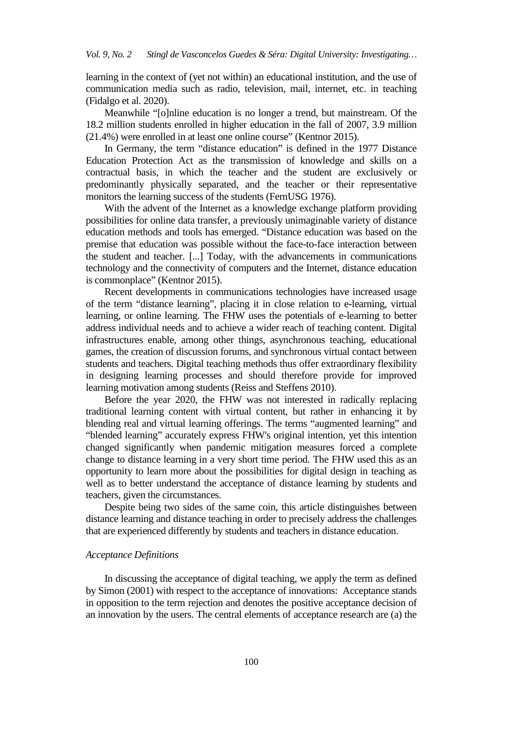learning in the context of (yet not within) an educational institution, and the use of communication media such as radio, television, mail, internet, etc. in teaching (Fidalgo et al. 2020).

Meanwhile "[o]nline education is no longer a trend, but mainstream. Of the 18.2 million students enrolled in higher education in the fall of 2007, 3.9 million (21.4%) were enrolled in at least one online course" (Kentnor 2015).

In Germany, the term "distance education" is defined in the 1977 Distance Education Protection Act as the transmission of knowledge and skills on a contractual basis, in which the teacher and the student are exclusively or predominantly physically separated, and the teacher or their representative monitors the learning success of the students (FernUSG 1976).

With the advent of the Internet as a knowledge exchange platform providing possibilities for online data transfer, a previously unimaginable variety of distance education methods and tools has emerged. "Distance education was based on the premise that education was possible without the face-to-face interaction between the student and teacher. [...] Today, with the advancements in communications technology and the connectivity of computers and the Internet, distance education is commonplace" (Kentnor 2015).

Recent developments in communications technologies have increased usage of the term "distance learning", placing it in close relation to e-learning, virtual learning, or online learning. The FHW uses the potentials of e-learning to better address individual needs and to achieve a wider reach of teaching content. Digital infrastructures enable, among other things, asynchronous teaching, educational games, the creation of discussion forums, and synchronous virtual contact between students and teachers. Digital teaching methods thus offer extraordinary flexibility in designing learning processes and should therefore provide for improved learning motivation among students (Reiss and Steffens 2010).

Before the year 2020, the FHW was not interested in radically replacing traditional learning content with virtual content, but rather in enhancing it by blending real and virtual learning offerings. The terms "augmented learning" and "blended learning" accurately express FHW's original intention, yet this intention changed significantly when pandemic mitigation measures forced a complete change to distance learning in a very short time period. The FHW used this as an opportunity to learn more about the possibilities for digital design in teaching as well as to better understand the acceptance of distance learning by students and teachers, given the circumstances.

Despite being two sides of the same coin, this article distinguishes between distance learning and distance teaching in order to precisely address the challenges that are experienced differently by students and teachers in distance education.

## *Acceptance Definitions*

In discussing the acceptance of digital teaching, we apply the term as defined by Simon (2001) with respect to the acceptance of innovations: Acceptance stands in opposition to the term rejection and denotes the positive acceptance decision of an innovation by the users. The central elements of acceptance research are (a) the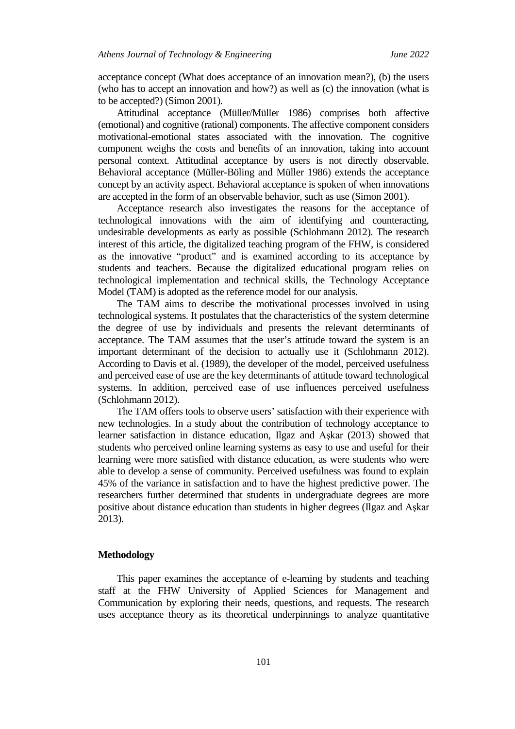acceptance concept (What does acceptance of an innovation mean?), (b) the users (who has to accept an innovation and how?) as well as (c) the innovation (what is to be accepted?) (Simon 2001).

Attitudinal acceptance (Müller/Müller 1986) comprises both affective (emotional) and cognitive (rational) components. The affective component considers motivational-emotional states associated with the innovation. The cognitive component weighs the costs and benefits of an innovation, taking into account personal context. Attitudinal acceptance by users is not directly observable. Behavioral acceptance (Müller-Böling and Müller 1986) extends the acceptance concept by an activity aspect. Behavioral acceptance is spoken of when innovations are accepted in the form of an observable behavior, such as use (Simon 2001).

Acceptance research also investigates the reasons for the acceptance of technological innovations with the aim of identifying and counteracting, undesirable developments as early as possible (Schlohmann 2012). The research interest of this article, the digitalized teaching program of the FHW, is considered as the innovative "product" and is examined according to its acceptance by students and teachers. Because the digitalized educational program relies on technological implementation and technical skills, the Technology Acceptance Model (TAM) is adopted as the reference model for our analysis.

The TAM aims to describe the motivational processes involved in using technological systems. It postulates that the characteristics of the system determine the degree of use by individuals and presents the relevant determinants of acceptance. The TAM assumes that the user's attitude toward the system is an important determinant of the decision to actually use it (Schlohmann 2012). According to Davis et al. (1989), the developer of the model, perceived usefulness and perceived ease of use are the key determinants of attitude toward technological systems. In addition, perceived ease of use influences perceived usefulness (Schlohmann 2012).

The TAM offers tools to observe users' satisfaction with their experience with new technologies. In a study about the contribution of technology acceptance to learner satisfaction in distance education, Ilgaz and Aşkar (2013) showed that students who perceived online learning systems as easy to use and useful for their learning were more satisfied with distance education, as were students who were able to develop a sense of community. Perceived usefulness was found to explain 45% of the variance in satisfaction and to have the highest predictive power. The researchers further determined that students in undergraduate degrees are more positive about distance education than students in higher degrees (Ilgaz and Aşkar 2013).

#### **Methodology**

This paper examines the acceptance of e-learning by students and teaching staff at the FHW University of Applied Sciences for Management and Communication by exploring their needs, questions, and requests. The research uses acceptance theory as its theoretical underpinnings to analyze quantitative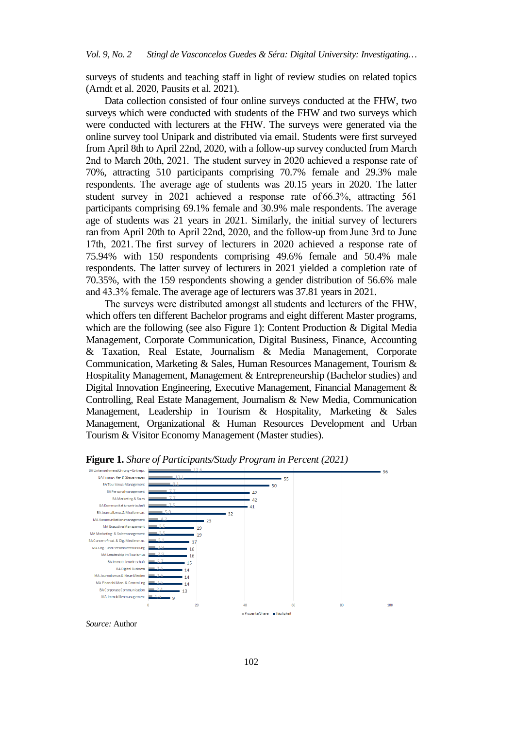surveys of students and teaching staff in light of review studies on related topics (Arndt et al. 2020, Pausits et al. 2021).

Data collection consisted of four online surveys conducted at the FHW, two surveys which were conducted with students of the FHW and two surveys which were conducted with lecturers at the FHW. The surveys were generated via the online survey tool Unipark and distributed via email. Students were first surveyed from April 8th to April 22nd, 2020, with a follow-up survey conducted from March 2nd to March 20th, 2021.  The student survey in 2020 achieved a response rate of 70%, attracting 510 participants comprising 70.7% female and 29.3% male respondents. The average age of students was 20.15 years in 2020. The latter student survey in 2021 achieved a response rate of 66.3%, attracting 561 participants comprising 69.1% female and 30.9% male respondents. The average age of students was 21 years in 2021. Similarly, the initial survey of lecturers ran from April 20th to April 22nd, 2020, and the follow-up from June 3rd to June 17th, 2021. The first survey of lecturers in 2020 achieved a response rate of 75.94% with 150 respondents comprising 49.6% female and 50.4% male respondents. The latter survey of lecturers in 2021 yielded a completion rate of 70.35%, with the 159 respondents showing a gender distribution of 56.6% male and 43.3% female. The average age of lecturers was 37.81 years in 2021.

The surveys were distributed amongst all students and lecturers of the FHW, which offers ten different Bachelor programs and eight different Master programs, which are the following (see also Figure 1): Content Production & Digital Media Management, Corporate Communication, Digital Business, Finance, Accounting & Taxation, Real Estate, Journalism & Media Management, Corporate Communication, Marketing & Sales, Human Resources Management, Tourism & Hospitality Management, Management & Entrepreneurship (Bachelor studies) and Digital Innovation Engineering, Executive Management, Financial Management & Controlling, Real Estate Management, Journalism & New Media, Communication Management, Leadership in Tourism & Hospitality, Marketing & Sales Management, Organizational & Human Resources Development and Urban Tourism & Visitor Economy Management (Master studies).



**Figure 1.** *Share of Participants/Study Program in Percent (2021)*

*Source:* Author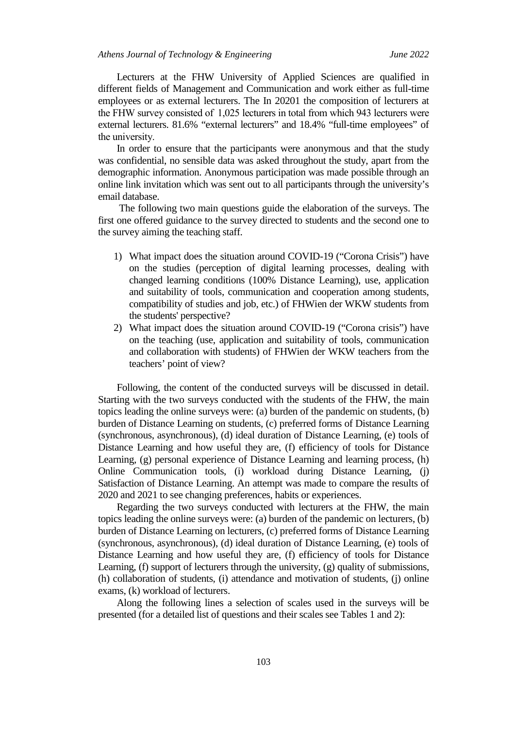Lecturers at the FHW University of Applied Sciences are qualified in different fields of Management and Communication and work either as full-time employees or as external lecturers. The In 20201 the composition of lecturers at the FHW survey consisted of  1,025 lecturers in total from which 943 lecturers were external lecturers. 81.6% "external lecturers" and 18.4% "full-time employees" of the university. 

In order to ensure that the participants were anonymous and that the study was confidential, no sensible data was asked throughout the study, apart from the demographic information. Anonymous participation was made possible through an online link invitation which was sent out to all participants through the university's email database.

The following two main questions guide the elaboration of the surveys. The first one offered guidance to the survey directed to students and the second one to the survey aiming the teaching staff.

- 1) What impact does the situation around COVID-19 ("Corona Crisis") have on the studies (perception of digital learning processes, dealing with changed learning conditions (100% Distance Learning), use, application and suitability of tools, communication and cooperation among students, compatibility of studies and job, etc.) of FHWien der WKW students from the students' perspective?
- 2) What impact does the situation around COVID-19 ("Corona crisis") have on the teaching (use, application and suitability of tools, communication and collaboration with students) of FHWien der WKW teachers from the teachers' point of view?

Following, the content of the conducted surveys will be discussed in detail. Starting with the two surveys conducted with the students of the FHW, the main topics leading the online surveys were: (a) burden of the pandemic on students, (b) burden of Distance Learning on students, (c) preferred forms of Distance Learning (synchronous, asynchronous), (d) ideal duration of Distance Learning, (e) tools of Distance Learning and how useful they are, (f) efficiency of tools for Distance Learning, (g) personal experience of Distance Learning and learning process, (h) Online Communication tools, (i) workload during Distance Learning, (j) Satisfaction of Distance Learning. An attempt was made to compare the results of 2020 and 2021 to see changing preferences, habits or experiences.

Regarding the two surveys conducted with lecturers at the FHW, the main topics leading the online surveys were: (a) burden of the pandemic on lecturers, (b) burden of Distance Learning on lecturers, (c) preferred forms of Distance Learning (synchronous, asynchronous), (d) ideal duration of Distance Learning, (e) tools of Distance Learning and how useful they are, (f) efficiency of tools for Distance Learning, (f) support of lecturers through the university, (g) quality of submissions, (h) collaboration of students, (i) attendance and motivation of students, (j) online exams, (k) workload of lecturers.

Along the following lines a selection of scales used in the surveys will be presented (for a detailed list of questions and their scales see Tables 1 and 2):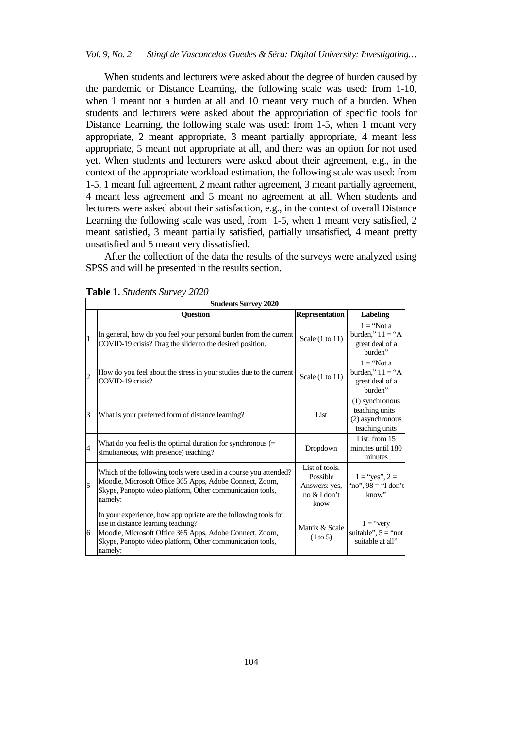## *Vol. 9, No. 2 Stingl de Vasconcelos Guedes & Séra: Digital University: Investigating…*

When students and lecturers were asked about the degree of burden caused by the pandemic or Distance Learning, the following scale was used: from 1-10, when 1 meant not a burden at all and 10 meant very much of a burden. When students and lecturers were asked about the appropriation of specific tools for Distance Learning, the following scale was used: from 1-5, when 1 meant very appropriate, 2 meant appropriate, 3 meant partially appropriate, 4 meant less appropriate, 5 meant not appropriate at all, and there was an option for not used yet. When students and lecturers were asked about their agreement, e.g., in the context of the appropriate workload estimation, the following scale was used: from 1-5, 1 meant full agreement, 2 meant rather agreement, 3 meant partially agreement, 4 meant less agreement and 5 meant no agreement at all. When students and lecturers were asked about their satisfaction, e.g., in the context of overall Distance Learning the following scale was used, from 1-5, when 1 meant very satisfied, 2 meant satisfied, 3 meant partially satisfied, partially unsatisfied, 4 meant pretty unsatisfied and 5 meant very dissatisfied.

After the collection of the data the results of the surveys were analyzed using SPSS and will be presented in the results section.

|                | <b>Students Survey 2020</b>                                                                                                                                                                                                              |                                                                     |                                                                         |  |
|----------------|------------------------------------------------------------------------------------------------------------------------------------------------------------------------------------------------------------------------------------------|---------------------------------------------------------------------|-------------------------------------------------------------------------|--|
|                | <b>Question</b>                                                                                                                                                                                                                          | <b>Representation</b>                                               | <b>Labeling</b>                                                         |  |
| $\mathbf{1}$   | In general, how do you feel your personal burden from the current<br>COVID-19 crisis? Drag the slider to the desired position.                                                                                                           | Scale $(1 \text{ to } 11)$                                          | $1 = "Not a$<br>burden," $11 = "A$<br>great deal of a<br>burden"        |  |
| $\overline{c}$ | How do you feel about the stress in your studies due to the current<br>COVID-19 crisis?                                                                                                                                                  | Scale $(1 \text{ to } 11)$                                          | $1 = "Not a$<br>burden," $11 = "A$<br>great deal of a<br>burden"        |  |
| 3              | What is your preferred form of distance learning?                                                                                                                                                                                        | List                                                                | (1) synchronous<br>teaching units<br>(2) asynchronous<br>teaching units |  |
| $\overline{4}$ | What do you feel is the optimal duration for synchronous $(=$<br>simultaneous, with presence) teaching?                                                                                                                                  | Dropdown                                                            | List: from 15<br>minutes until 180<br>minutes                           |  |
| 5              | Which of the following tools were used in a course you attended?<br>Moodle, Microsoft Office 365 Apps, Adobe Connect, Zoom,<br>Skype, Panopto video platform, Other communication tools,<br>namely:                                      | List of tools.<br>Possible<br>Answers: yes,<br>no & I don't<br>know | $1 =$ "yes", $2 =$<br>"no", $98 =$ "I don't<br>know"                    |  |
| 6              | In your experience, how appropriate are the following tools for<br>use in distance learning teaching?<br>Moodle, Microsoft Office 365 Apps, Adobe Connect, Zoom,<br>Skype, Panopto video platform, Other communication tools,<br>namely: | Matrix & Scale<br>$(1 \text{ to } 5)$                               | $1 = "very$<br>suitable", $5 =$ "not<br>suitable at all"                |  |

**Table 1.** *Students Survey 2020*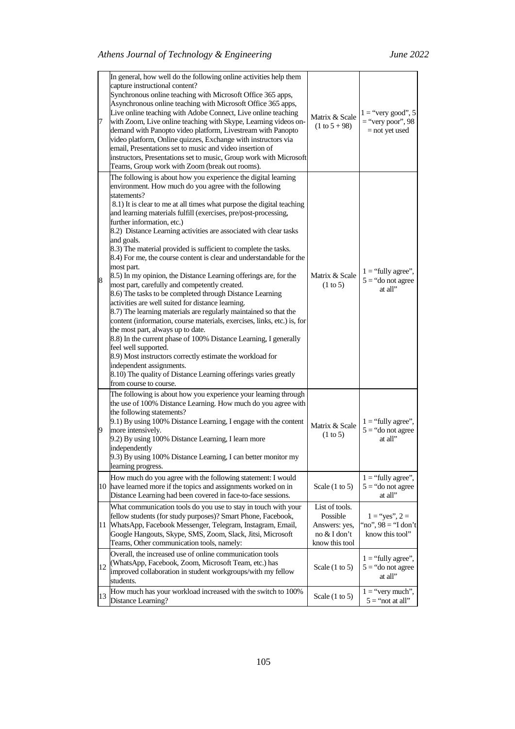| 7  | In general, how well do the following online activities help them<br>capture instructional content?<br>Synchronous online teaching with Microsoft Office 365 apps,<br>Asynchronous online teaching with Microsoft Office 365 apps,<br>Live online teaching with Adobe Connect, Live online teaching<br>with Zoom, Live online teaching with Skype, Learning videos on-<br>demand with Panopto video platform, Livestream with Panopto<br>video platform, Online quizzes, Exchange with instructors via<br>email, Presentations set to music and video insertion of<br>instructors, Presentations set to music, Group work with Microsoft<br>Teams, Group work with Zoom (break out rooms).                                                                                                                                                                                                                                                                                                                                                                                                                                                                                                                                                                              | Matrix & Scale<br>$(1 to 5 + 98)$                                             | $1 =$ "very good", 5<br>$=$ "very poor", 98<br>$=$ not yet used |
|----|-------------------------------------------------------------------------------------------------------------------------------------------------------------------------------------------------------------------------------------------------------------------------------------------------------------------------------------------------------------------------------------------------------------------------------------------------------------------------------------------------------------------------------------------------------------------------------------------------------------------------------------------------------------------------------------------------------------------------------------------------------------------------------------------------------------------------------------------------------------------------------------------------------------------------------------------------------------------------------------------------------------------------------------------------------------------------------------------------------------------------------------------------------------------------------------------------------------------------------------------------------------------------|-------------------------------------------------------------------------------|-----------------------------------------------------------------|
| 8  | The following is about how you experience the digital learning<br>environment. How much do you agree with the following<br>statements?<br>8.1) It is clear to me at all times what purpose the digital teaching<br>and learning materials fulfill (exercises, pre/post-processing,<br>further information, etc.)<br>8.2) Distance Learning activities are associated with clear tasks<br>and goals.<br>8.3) The material provided is sufficient to complete the tasks.<br>8.4) For me, the course content is clear and understandable for the<br>most part.<br>8.5) In my opinion, the Distance Learning offerings are, for the<br>most part, carefully and competently created.<br>8.6) The tasks to be completed through Distance Learning<br>activities are well suited for distance learning.<br>8.7) The learning materials are regularly maintained so that the<br>content (information, course materials, exercises, links, etc.) is, for<br>the most part, always up to date.<br>8.8) In the current phase of 100% Distance Learning, I generally<br>feel well supported.<br>8.9) Most instructors correctly estimate the workload for<br>independent assignments.<br>8.10) The quality of Distance Learning offerings varies greatly<br>from course to course. | Matrix & Scale<br>(1 to 5)                                                    | $1 =$ "fully agree",<br>$5 =$ "do not agree<br>at all"          |
| 9  | The following is about how you experience your learning through<br>the use of 100% Distance Learning. How much do you agree with<br>the following statements?<br>9.1) By using 100% Distance Learning, I engage with the content<br>more intensively.<br>9.2) By using 100% Distance Learning, I learn more<br>independently<br>9.3) By using 100% Distance Learning, I can better monitor my<br>learning progress.                                                                                                                                                                                                                                                                                                                                                                                                                                                                                                                                                                                                                                                                                                                                                                                                                                                     | Matrix & Scale<br>$(1 \text{ to } 5)$                                         | $1 =$ "fully agree",<br>$5 =$ "do not agree<br>at all"          |
|    | How much do you agree with the following statement: I would<br>10 have learned more if the topics and assignments worked on in<br>Distance Learning had been covered in face-to-face sessions.                                                                                                                                                                                                                                                                                                                                                                                                                                                                                                                                                                                                                                                                                                                                                                                                                                                                                                                                                                                                                                                                          | Scale $(1 \text{ to } 5)$                                                     | $1 =$ "fully agree",<br>$5 =$ "do not agree<br>at all"          |
|    | What communication tools do you use to stay in touch with your<br>fellow students (for study purposes)? Smart Phone, Facebook,<br>11 WhatsApp, Facebook Messenger, Telegram, Instagram, Email,<br>Google Hangouts, Skype, SMS, Zoom, Slack, Jitsi, Microsoft<br>Teams, Other communication tools, namely:                                                                                                                                                                                                                                                                                                                                                                                                                                                                                                                                                                                                                                                                                                                                                                                                                                                                                                                                                               | List of tools.<br>Possible<br>Answers: yes,<br>no & I don't<br>know this tool | $1 =$ "yes", $2 =$<br>"no", $98 =$ "I don't<br>know this tool"  |
| 12 | Overall, the increased use of online communication tools<br>(WhatsApp, Facebook, Zoom, Microsoft Team, etc.) has<br>improved collaboration in student workgroups/with my fellow<br>students.                                                                                                                                                                                                                                                                                                                                                                                                                                                                                                                                                                                                                                                                                                                                                                                                                                                                                                                                                                                                                                                                            | Scale $(1 \text{ to } 5)$                                                     | $1 =$ "fully agree",<br>$5 =$ "do not agree<br>at all"          |
| 13 | How much has your workload increased with the switch to 100%<br>Distance Learning?                                                                                                                                                                                                                                                                                                                                                                                                                                                                                                                                                                                                                                                                                                                                                                                                                                                                                                                                                                                                                                                                                                                                                                                      | Scale $(1 \text{ to } 5)$                                                     | $1 =$ "very much",<br>$5 =$ "not at all"                        |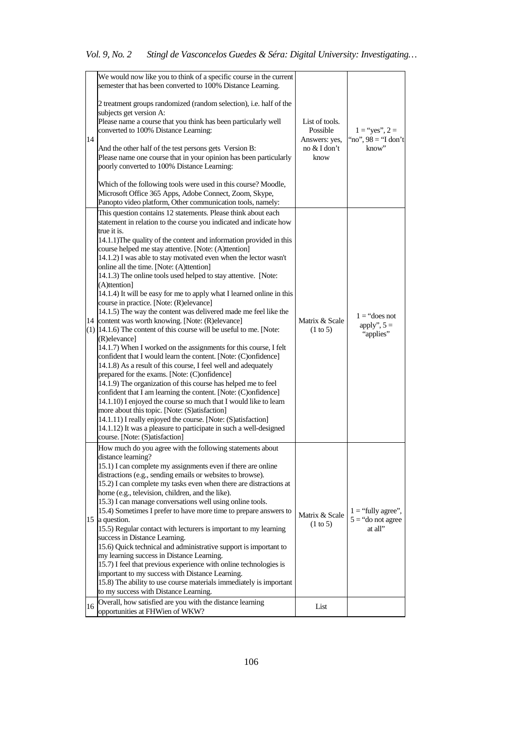|    | We would now like you to think of a specific course in the current<br>semester that has been converted to 100% Distance Learning.                                                                                                                                                                                                                                                                                                                                                                                                                                                                                                                                                                                                                                                                                                                                                                                                                                                                                                                                                                                                                                                                                                                                                                                                                                                                                                                                                                                   |                                                                     |                                                        |
|----|---------------------------------------------------------------------------------------------------------------------------------------------------------------------------------------------------------------------------------------------------------------------------------------------------------------------------------------------------------------------------------------------------------------------------------------------------------------------------------------------------------------------------------------------------------------------------------------------------------------------------------------------------------------------------------------------------------------------------------------------------------------------------------------------------------------------------------------------------------------------------------------------------------------------------------------------------------------------------------------------------------------------------------------------------------------------------------------------------------------------------------------------------------------------------------------------------------------------------------------------------------------------------------------------------------------------------------------------------------------------------------------------------------------------------------------------------------------------------------------------------------------------|---------------------------------------------------------------------|--------------------------------------------------------|
| 14 | 2 treatment groups randomized (random selection), i.e. half of the<br>subjects get version A:<br>Please name a course that you think has been particularly well<br>converted to 100% Distance Learning:<br>And the other half of the test persons gets Version B:<br>Please name one course that in your opinion has been particularly<br>poorly converted to 100% Distance Learning:<br>Which of the following tools were used in this course? Moodle,<br>Microsoft Office 365 Apps, Adobe Connect, Zoom, Skype,<br>Panopto video platform, Other communication tools, namely:                                                                                                                                                                                                                                                                                                                                                                                                                                                                                                                                                                                                                                                                                                                                                                                                                                                                                                                                     | List of tools.<br>Possible<br>Answers: yes,<br>no & I don't<br>know | $1 =$ "yes", $2 =$<br>"no", $98 =$ "I don't<br>know"   |
|    | This question contains 12 statements. Please think about each<br>statement in relation to the course you indicated and indicate how<br>true it is.<br>14.1.1) The quality of the content and information provided in this<br>course helped me stay attentive. [Note: (A)ttention]<br>14.1.2) I was able to stay motivated even when the lector wasn't<br>online all the time. [Note: (A)ttention]<br>14.1.3) The online tools used helped to stay attentive. [Note:<br>(A)ttention]<br>14.1.4) It will be easy for me to apply what I learned online in this<br>course in practice. [Note: (R) elevance]<br>14.1.5) The way the content was delivered made me feel like the<br>14 content was worth knowing. [Note: (R) elevance]<br>$(1)$ [14.1.6) The content of this course will be useful to me. [Note:<br>(R) elevance]<br>14.1.7) When I worked on the assignments for this course, I felt<br>confident that I would learn the content. [Note: (C)onfidence]<br>14.1.8) As a result of this course, I feel well and adequately<br>prepared for the exams. [Note: (C)onfidence]<br>14.1.9) The organization of this course has helped me to feel<br>confident that I am learning the content. [Note: (C)onfidence]<br>14.1.10) I enjoyed the course so much that I would like to learn<br>more about this topic. [Note: (S)atisfaction]<br>14.1.11) I really enjoyed the course. [Note: (S)atisfaction]<br>14.1.12) It was a pleasure to participate in such a well-designed<br>course. [Note: (S)atisfaction] | Matrix & Scale<br>$(1 \text{ to } 5)$                               | $1 = "does not"$<br>apply", $5 =$<br>"applies"         |
|    | How much do you agree with the following statements about<br>distance learning?<br>15.1) I can complete my assignments even if there are online<br>distractions (e.g., sending emails or websites to browse).<br>15.2) I can complete my tasks even when there are distractions at<br>home (e.g., television, children, and the like).<br>15.3) I can manage conversations well using online tools.<br>15.4) Sometimes I prefer to have more time to prepare answers to<br>15 a question.<br>15.5) Regular contact with lecturers is important to my learning<br>success in Distance Learning.<br>15.6) Quick technical and administrative support is important to<br>my learning success in Distance Learning.<br>15.7) I feel that previous experience with online technologies is<br>important to my success with Distance Learning.<br>15.8) The ability to use course materials immediately is important<br>to my success with Distance Learning.                                                                                                                                                                                                                                                                                                                                                                                                                                                                                                                                                              | Matrix & Scale<br>$(1 \text{ to } 5)$                               | $1 = "fully agree",$<br>$5 =$ "do not agree<br>at all" |
| 16 | Overall, how satisfied are you with the distance learning<br>opportunities at FHWien of WKW?                                                                                                                                                                                                                                                                                                                                                                                                                                                                                                                                                                                                                                                                                                                                                                                                                                                                                                                                                                                                                                                                                                                                                                                                                                                                                                                                                                                                                        | List                                                                |                                                        |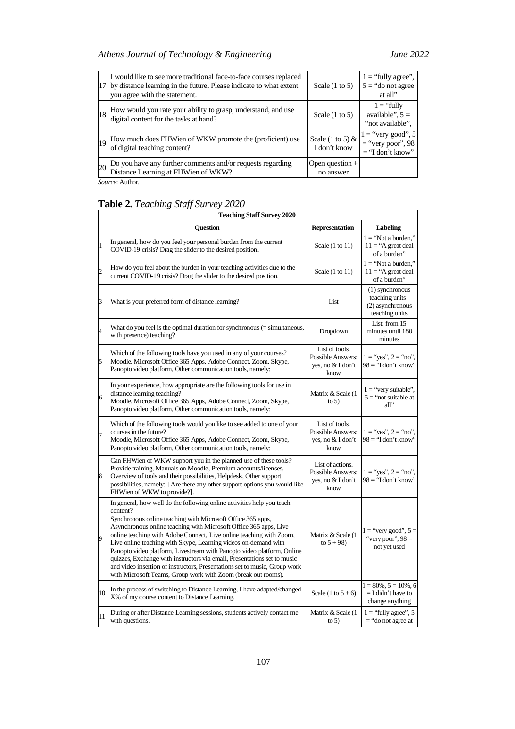# *Athens Journal of Technology & Engineering June 2022*

| 17 | I would like to see more traditional face-to-face courses replaced<br>by distance learning in the future. Please indicate to what extent<br>you agree with the statement. | Scale $(1 \text{ to } 5)$          | $1 =$ "fully agree",<br>$5 =$ "do not agree"<br>at all"           |
|----|---------------------------------------------------------------------------------------------------------------------------------------------------------------------------|------------------------------------|-------------------------------------------------------------------|
| 18 | How would you rate your ability to grasp, understand, and use<br>digital content for the tasks at hand?                                                                   | Scale $(1 \text{ to } 5)$          | $1 = "fully$<br>available", $5 =$<br>"not available".             |
| 19 | How much does FHWien of WKW promote the (proficient) use<br>of digital teaching content?                                                                                  | Scale (1 to 5) $&$<br>I don't know | $1 =$ "very good", 5<br>$=$ "very poor", 98<br>$=$ "I don't know" |
| 20 | Do you have any further comments and/or requests regarding<br>Distance Learning at FHWien of WKW?                                                                         | Open question +<br>no answer       |                                                                   |

*Source*: Author.

# **Table 2.** *Teaching Staff Survey 2020*

|                | <b>Teaching Staff Survey 2020</b>                                                                                                                                                                                                                                                                                                                                                                                                                                                                                                                                                                                                                                     |                                                                           |                                                                         |  |  |
|----------------|-----------------------------------------------------------------------------------------------------------------------------------------------------------------------------------------------------------------------------------------------------------------------------------------------------------------------------------------------------------------------------------------------------------------------------------------------------------------------------------------------------------------------------------------------------------------------------------------------------------------------------------------------------------------------|---------------------------------------------------------------------------|-------------------------------------------------------------------------|--|--|
|                | <b>Ouestion</b>                                                                                                                                                                                                                                                                                                                                                                                                                                                                                                                                                                                                                                                       | <b>Representation</b>                                                     | <b>Labeling</b>                                                         |  |  |
| $\mathbf{1}$   | In general, how do you feel your personal burden from the current<br>COVID-19 crisis? Drag the slider to the desired position.                                                                                                                                                                                                                                                                                                                                                                                                                                                                                                                                        | Scale $(1 \text{ to } 11)$                                                | $1 = 'Not a burden.'$<br>$11 = "A great deal$<br>of a burden"           |  |  |
| $\overline{c}$ | How do you feel about the burden in your teaching activities due to the<br>current COVID-19 crisis? Drag the slider to the desired position.                                                                                                                                                                                                                                                                                                                                                                                                                                                                                                                          | Scale $(1 to 11)$                                                         | $1 = 'Not a burden.'$<br>$11 = "A great deal$<br>of a burden"           |  |  |
| 3              | What is your preferred form of distance learning?                                                                                                                                                                                                                                                                                                                                                                                                                                                                                                                                                                                                                     | List                                                                      | (1) synchronous<br>teaching units<br>(2) asynchronous<br>teaching units |  |  |
| $\overline{4}$ | What do you feel is the optimal duration for synchronous (= simultaneous,<br>with presence) teaching?                                                                                                                                                                                                                                                                                                                                                                                                                                                                                                                                                                 | Dropdown                                                                  | List: from 15<br>minutes until 180<br>minutes                           |  |  |
| 5              | Which of the following tools have you used in any of your courses?<br>Moodle, Microsoft Office 365 Apps, Adobe Connect, Zoom, Skype,<br>Panopto video platform, Other communication tools, namely:                                                                                                                                                                                                                                                                                                                                                                                                                                                                    | List of tools.<br>Possible Answers:<br>yes, no & I don't<br>know          | $1 =$ "yes", $2 =$ "no",<br>$98 =$ "I don't know"                       |  |  |
| 6              | In your experience, how appropriate are the following tools for use in<br>distance learning teaching?<br>Moodle, Microsoft Office 365 Apps, Adobe Connect, Zoom, Skype,<br>Panopto video platform, Other communication tools, namely:                                                                                                                                                                                                                                                                                                                                                                                                                                 | Matrix & Scale (1<br>to $5)$                                              | $1 =$ "very suitable",<br>$5 =$ "not suitable at<br>all                 |  |  |
| $\overline{7}$ | Which of the following tools would you like to see added to one of your<br>courses in the future?<br>Moodle, Microsoft Office 365 Apps, Adobe Connect, Zoom, Skype,<br>Panopto video platform, Other communication tools, namely:                                                                                                                                                                                                                                                                                                                                                                                                                                     | List of tools.<br><b>Possible Answers:</b><br>yes, no & I don't<br>know   | $1 =$ "yes", $2 =$ "no",<br>$98 = 'I$ don't know"                       |  |  |
| 8              | Can FHWien of WKW support you in the planned use of these tools?<br>Provide training, Manuals on Moodle, Premium accounts/licenses,<br>Overview of tools and their possibilities, Helpdesk, Other support<br>possibilities, namely: [Are there any other support options you would like<br>FHWien of WKW to provide?].                                                                                                                                                                                                                                                                                                                                                | List of actions.<br><b>Possible Answers:</b><br>yes, no & I don't<br>know | $1 = "yes", 2 = "no",$<br>$98 = 'I don't know'$                         |  |  |
| 9              | In general, how well do the following online activities help you teach<br>content?<br>Synchronous online teaching with Microsoft Office 365 apps,<br>Asynchronous online teaching with Microsoft Office 365 apps, Live<br>online teaching with Adobe Connect, Live online teaching with Zoom,<br>Live online teaching with Skype, Learning videos on-demand with<br>Panopto video platform, Livestream with Panopto video platform, Online<br>quizzes, Exchange with instructors via email, Presentations set to music<br>and video insertion of instructors, Presentations set to music, Group work<br>with Microsoft Teams, Group work with Zoom (break out rooms). | Matrix & Scale (1<br>to $5 + 98$ )                                        | $1 =$ "very good", $5 =$<br>"very poor", $98 =$<br>not yet used         |  |  |
| 10             | In the process of switching to Distance Learning, I have adapted/changed<br>X% of my course content to Distance Learning.                                                                                                                                                                                                                                                                                                                                                                                                                                                                                                                                             | Scale $(1 to 5 + 6)$                                                      | $1 = 80\%, 5 = 10\%, 6$<br>$=$ I didn't have to<br>change anything      |  |  |
| 11             | During or after Distance Learning sessions, students actively contact me<br>with questions.                                                                                                                                                                                                                                                                                                                                                                                                                                                                                                                                                                           | Matrix & Scale (1<br>to $5)$                                              | $1 =$ "fully agree", 5<br>$=$ "do not agree at                          |  |  |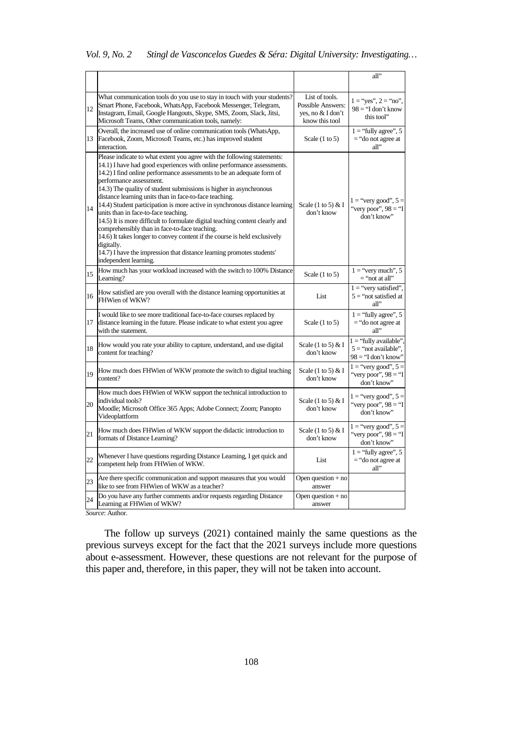| Vol. 9, No. 2 |  | Stingl de Vasconcelos Guedes & Séra: Digital University: Investigating |
|---------------|--|------------------------------------------------------------------------|
|               |  |                                                                        |

|    |                                                                                                                                                                                                                                                                                                                                                                                                                                                                                                                                                                                                                                                                                                                                                                                                                                            |                                                                            | all"                                                                        |
|----|--------------------------------------------------------------------------------------------------------------------------------------------------------------------------------------------------------------------------------------------------------------------------------------------------------------------------------------------------------------------------------------------------------------------------------------------------------------------------------------------------------------------------------------------------------------------------------------------------------------------------------------------------------------------------------------------------------------------------------------------------------------------------------------------------------------------------------------------|----------------------------------------------------------------------------|-----------------------------------------------------------------------------|
| 12 | What communication tools do you use to stay in touch with your students?<br>Smart Phone, Facebook, WhatsApp, Facebook Messenger, Telegram,<br>Instagram, Email, Google Hangouts, Skype, SMS, Zoom, Slack, Jitsi,<br>Microsoft Teams, Other communication tools, namely:                                                                                                                                                                                                                                                                                                                                                                                                                                                                                                                                                                    | List of tools.<br>Possible Answers:<br>yes, no & I don't<br>know this tool | $1 = "yes", 2 = "no",$<br>$98 =$ "I don't know<br>this tool"                |
| 13 | Overall, the increased use of online communication tools (WhatsApp,<br>Facebook, Zoom, Microsoft Teams, etc.) has improved student<br>interaction.                                                                                                                                                                                                                                                                                                                                                                                                                                                                                                                                                                                                                                                                                         | Scale $(1 to 5)$                                                           | $1 =$ "fully agree", 5<br>$=$ "do not agree at<br>all"                      |
| 14 | Please indicate to what extent you agree with the following statements:<br>14.1) I have had good experiences with online performance assessments.<br>14.2) I find online performance assessments to be an adequate form of<br>performance assessment.<br>14.3) The quality of student submissions is higher in asynchronous<br>distance learning units than in face-to-face teaching.<br>14.4) Student participation is more active in synchronous distance learning<br>units than in face-to-face teaching.<br>14.5) It is more difficult to formulate digital teaching content clearly and<br>comprehensibly than in face-to-face teaching.<br>14.6) It takes longer to convey content if the course is held exclusively<br>digitally.<br>14.7) I have the impression that distance learning promotes students'<br>independent learning. | Scale $(1 \text{ to } 5) \& I$<br>don't know                               | $1 =$ "very good", $5 =$<br>"very poor", $98 =$ "I<br>don't know"           |
| 15 | How much has your workload increased with the switch to 100% Distance<br>Learning?                                                                                                                                                                                                                                                                                                                                                                                                                                                                                                                                                                                                                                                                                                                                                         | Scale $(1 to 5)$                                                           | $1 =$ "very much", 5<br>$=$ "not at all"                                    |
| 16 | How satisfied are you overall with the distance learning opportunities at<br>FHWien of WKW?                                                                                                                                                                                                                                                                                                                                                                                                                                                                                                                                                                                                                                                                                                                                                | List                                                                       | $1 =$ "very satisfied",<br>$5 =$ "not satisfied at<br>all"                  |
| 17 | I would like to see more traditional face-to-face courses replaced by<br>distance learning in the future. Please indicate to what extent you agree<br>with the statement.                                                                                                                                                                                                                                                                                                                                                                                                                                                                                                                                                                                                                                                                  | Scale $(1 to 5)$                                                           | $1 =$ "fully agree", 5<br>$=$ "do not agree at<br>all                       |
| 18 | How would you rate your ability to capture, understand, and use digital<br>content for teaching?                                                                                                                                                                                                                                                                                                                                                                                                                                                                                                                                                                                                                                                                                                                                           | Scale $(1 \text{ to } 5) \& I$<br>don't know                               | $1 =$ "fully available",<br>$5 =$ "not available".<br>$98 = "I don't know"$ |
| 19 | How much does FHWien of WKW promote the switch to digital teaching<br>content?                                                                                                                                                                                                                                                                                                                                                                                                                                                                                                                                                                                                                                                                                                                                                             | Scale $(1 \text{ to } 5) \& 1$<br>don't know                               | $1 =$ "very good", $5 =$<br>"very poor", $98 =$ "I<br>don't know"           |
| 20 | How much does FHWien of WKW support the technical introduction to<br>individual tools?<br>Moodle; Microsoft Office 365 Apps; Adobe Connect; Zoom; Panopto<br>Videoplattform                                                                                                                                                                                                                                                                                                                                                                                                                                                                                                                                                                                                                                                                | Scale $(1 \text{ to } 5) \& I$<br>don't know                               | $1 =$ "very good", $5 =$<br>"very poor", $98 =$ "I<br>don't know"           |
| 21 | How much does FHWien of WKW support the didactic introduction to<br>formats of Distance Learning?                                                                                                                                                                                                                                                                                                                                                                                                                                                                                                                                                                                                                                                                                                                                          | Scale $(1 \text{ to } 5) \& I$<br>don't know                               | $1 =$ "very good", $5 =$<br>"very poor", $98 =$ "I<br>don't know"           |
| 22 | Whenever I have questions regarding Distance Learning, I get quick and<br>competent help from FHWien of WKW.                                                                                                                                                                                                                                                                                                                                                                                                                                                                                                                                                                                                                                                                                                                               | List                                                                       | $1 =$ "fully agree", 5<br>$=$ "do not agree at<br>all"                      |
| 23 | Are there specific communication and support measures that you would<br>like to see from FHWien of WKW as a teacher?                                                                                                                                                                                                                                                                                                                                                                                                                                                                                                                                                                                                                                                                                                                       | Open question $+$ no<br>answer                                             |                                                                             |
| 24 | Do you have any further comments and/or requests regarding Distance<br>Learning at FHWien of WKW?                                                                                                                                                                                                                                                                                                                                                                                                                                                                                                                                                                                                                                                                                                                                          | Open question $+$ no<br>answer                                             |                                                                             |

*Source*: Author.

The follow up surveys (2021) contained mainly the same questions as the previous surveys except for the fact that the 2021 surveys include more questions about e-assessment. However, these questions are not relevant for the purpose of this paper and, therefore, in this paper, they will not be taken into account.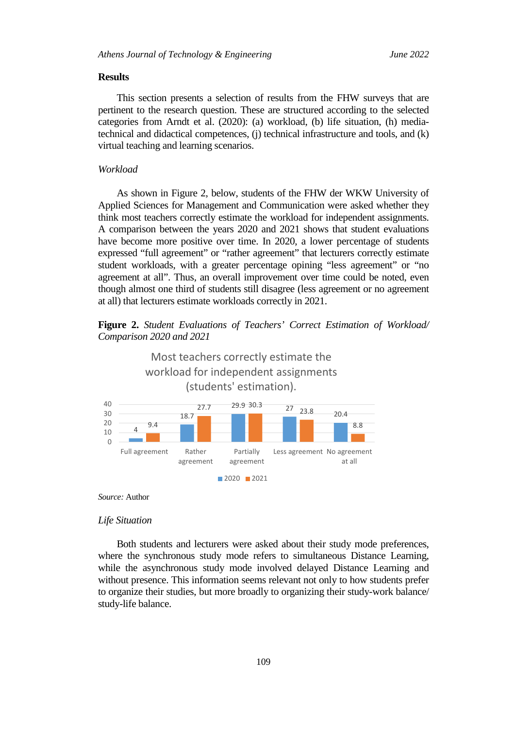## **Results**

This section presents a selection of results from the FHW surveys that are pertinent to the research question. These are structured according to the selected categories from Arndt et al. (2020): (a) workload, (b) life situation, (h) mediatechnical and didactical competences, (j) technical infrastructure and tools, and (k) virtual teaching and learning scenarios.

## *Workload*

As shown in Figure 2, below, students of the FHW der WKW University of Applied Sciences for Management and Communication were asked whether they think most teachers correctly estimate the workload for independent assignments. A comparison between the years 2020 and 2021 shows that student evaluations have become more positive over time. In 2020, a lower percentage of students expressed "full agreement" or "rather agreement" that lecturers correctly estimate student workloads, with a greater percentage opining "less agreement" or "no agreement at all". Thus, an overall improvement over time could be noted, even though almost one third of students still disagree (less agreement or no agreement at all) that lecturers estimate workloads correctly in 2021.

**Figure 2.** *Student Evaluations of Teachers' Correct Estimation of Workload/ Comparison 2020 and 2021*



*Source:* Author

#### *Life Situation*

Both students and lecturers were asked about their study mode preferences, where the synchronous study mode refers to simultaneous Distance Learning, while the asynchronous study mode involved delayed Distance Learning and without presence. This information seems relevant not only to how students prefer to organize their studies, but more broadly to organizing their study-work balance/ study-life balance.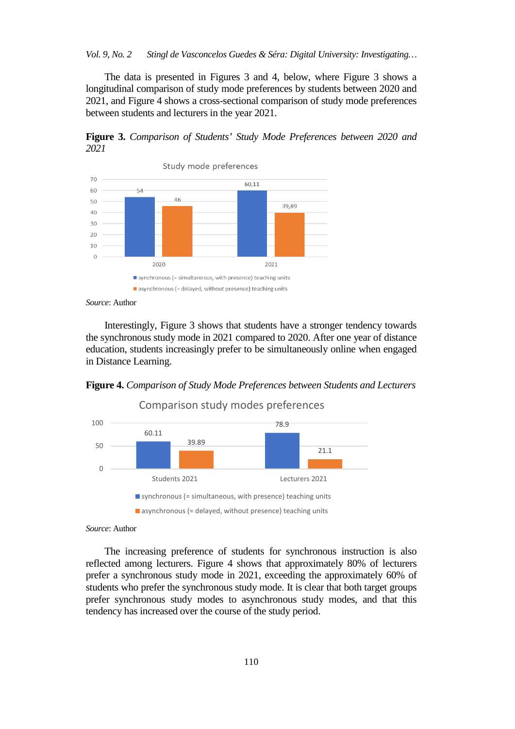*Vol. 9, No. 2 Stingl de Vasconcelos Guedes & Séra: Digital University: Investigating…*

The data is presented in Figures 3 and 4, below, where Figure 3 shows a longitudinal comparison of study mode preferences by students between 2020 and 2021, and Figure 4 shows a cross-sectional comparison of study mode preferences between students and lecturers in the year 2021.

**Figure 3.** *Comparison of Students' Study Mode Preferences between 2020 and 2021*



*Source*: Author

Interestingly, Figure 3 shows that students have a stronger tendency towards the synchronous study mode in 2021 compared to 2020. After one year of distance education, students increasingly prefer to be simultaneously online when engaged in Distance Learning.

**Figure 4.** *Comparison of Study Mode Preferences between Students and Lecturers*



*Source*: Author

The increasing preference of students for synchronous instruction is also reflected among lecturers. Figure 4 shows that approximately 80% of lecturers prefer a synchronous study mode in 2021, exceeding the approximately 60% of students who prefer the synchronous study mode. It is clear that both target groups prefer synchronous study modes to asynchronous study modes, and that this tendency has increased over the course of the study period.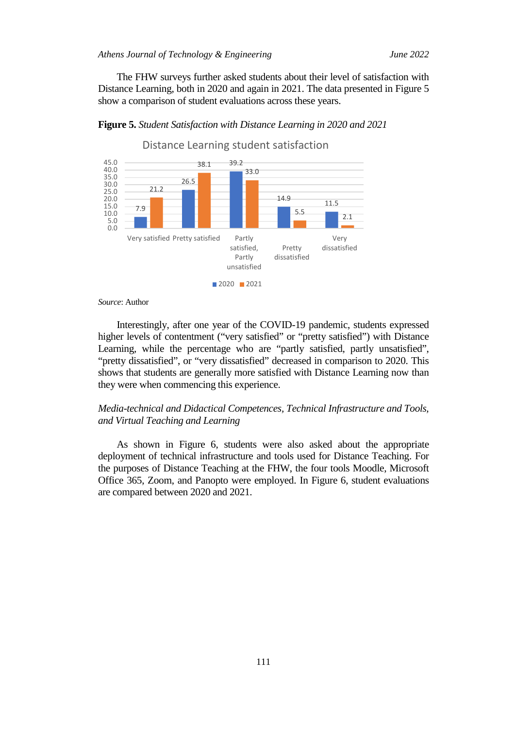The FHW surveys further asked students about their level of satisfaction with Distance Learning, both in 2020 and again in 2021. The data presented in Figure 5 show a comparison of student evaluations across these years.



**Figure 5.** *Student Satisfaction with Distance Learning in 2020 and 2021*

## *Source*: Author

Interestingly, after one year of the COVID-19 pandemic, students expressed higher levels of contentment ("very satisfied" or "pretty satisfied") with Distance Learning, while the percentage who are "partly satisfied, partly unsatisfied", "pretty dissatisfied", or "very dissatisfied" decreased in comparison to 2020. This shows that students are generally more satisfied with Distance Learning now than they were when commencing this experience.

# *Media-technical and Didactical Competences, Technical Infrastructure and Tools, and Virtual Teaching and Learning*

As shown in Figure 6, students were also asked about the appropriate deployment of technical infrastructure and tools used for Distance Teaching. For the purposes of Distance Teaching at the FHW, the four tools Moodle, Microsoft Office 365, Zoom, and Panopto were employed. In Figure 6, student evaluations are compared between 2020 and 2021.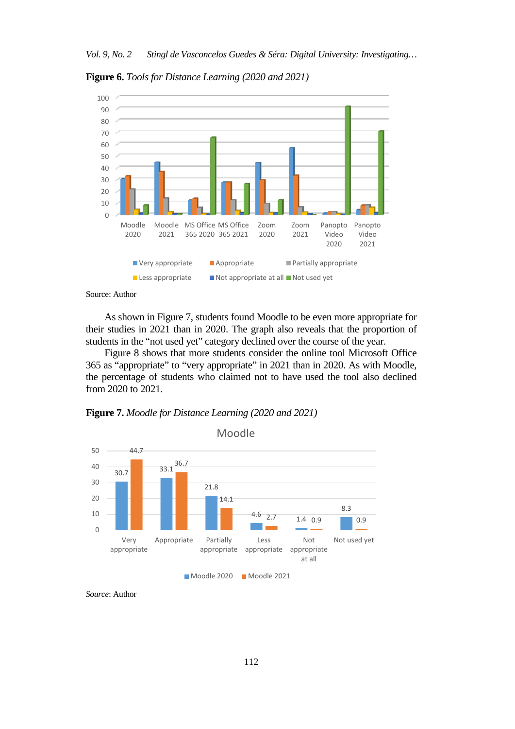**Figure 6.** *Tools for Distance Learning (2020 and 2021)*





As shown in Figure 7, students found Moodle to be even more appropriate for their studies in 2021 than in 2020. The graph also reveals that the proportion of students in the "not used yet" category declined over the course of the year.

Figure 8 shows that more students consider the online tool Microsoft Office 365 as "appropriate" to "very appropriate" in 2021 than in 2020. As with Moodle, the percentage of students who claimed not to have used the tool also declined from 2020 to 2021.





*Source*: Author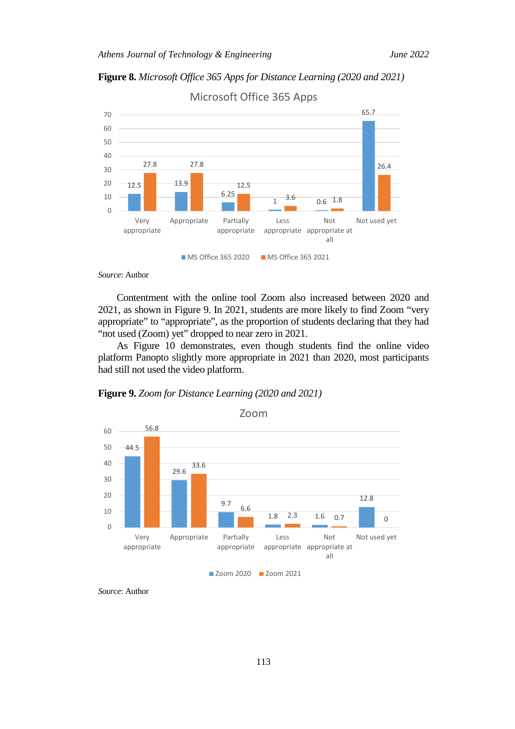**Figure 8.** *Microsoft Office 365 Apps for Distance Learning (2020 and 2021)*



Microsoft Office 365 Apps

*Source*: Author

Contentment with the online tool Zoom also increased between 2020 and 2021, as shown in Figure 9. In 2021, students are more likely to find Zoom "very appropriate" to "appropriate", as the proportion of students declaring that they had "not used (Zoom) yet" dropped to near zero in 2021.

As Figure 10 demonstrates, even though students find the online video platform Panopto slightly more appropriate in 2021 than 2020, most participants had still not used the video platform.

**Figure 9.** *Zoom for Distance Learning (2020 and 2021)*



**Zoom 2020 Zoom 2021** 

*Source*: Author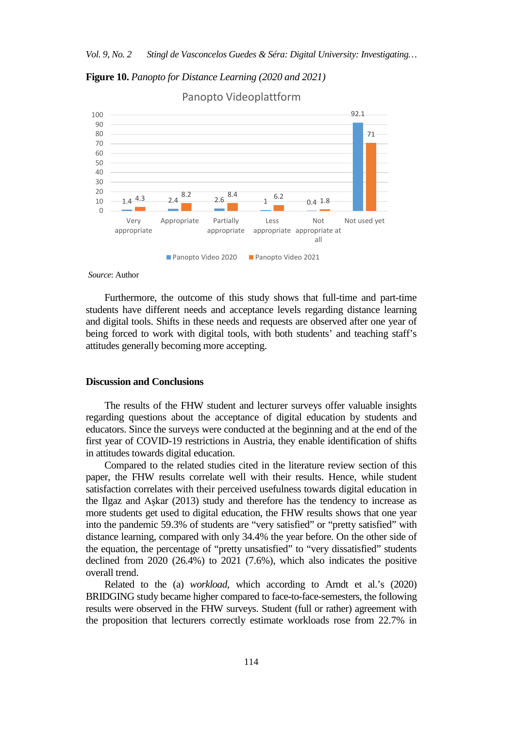**Figure 10.** *Panopto for Distance Learning (2020 and 2021)*



Panopto Videoplattform

### *Source*: Author

Furthermore, the outcome of this study shows that full-time and part-time students have different needs and acceptance levels regarding distance learning and digital tools. Shifts in these needs and requests are observed after one year of being forced to work with digital tools, with both students' and teaching staff's attitudes generally becoming more accepting.

#### **Discussion and Conclusions**

The results of the FHW student and lecturer surveys offer valuable insights regarding questions about the acceptance of digital education by students and educators. Since the surveys were conducted at the beginning and at the end of the first year of COVID-19 restrictions in Austria, they enable identification of shifts in attitudes towards digital education.

Compared to the related studies cited in the literature review section of this paper, the FHW results correlate well with their results. Hence, while student satisfaction correlates with their perceived usefulness towards digital education in the Ilgaz and Aşkar (2013) study and therefore has the tendency to increase as more students get used to digital education, the FHW results shows that one year into the pandemic 59.3% of students are "very satisfied" or "pretty satisfied" with distance learning, compared with only 34.4% the year before. On the other side of the equation, the percentage of "pretty unsatisfied" to "very dissatisfied" students declined from 2020 (26.4%) to 2021 (7.6%), which also indicates the positive overall trend.

Related to the (a) *workload*, which according to Arndt et al.'s (2020) BRIDGING study became higher compared to face-to-face-semesters, the following results were observed in the FHW surveys. Student (full or rather) agreement with the proposition that lecturers correctly estimate workloads rose from 22.7% in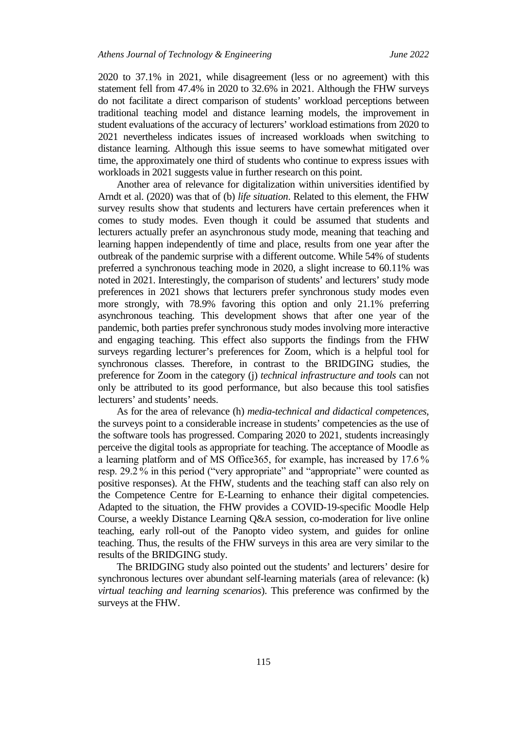2020 to 37.1% in 2021, while disagreement (less or no agreement) with this statement fell from 47.4% in 2020 to 32.6% in 2021. Although the FHW surveys do not facilitate a direct comparison of students' workload perceptions between traditional teaching model and distance learning models, the improvement in student evaluations of the accuracy of lecturers' workload estimations from 2020 to 2021 nevertheless indicates issues of increased workloads when switching to distance learning. Although this issue seems to have somewhat mitigated over time, the approximately one third of students who continue to express issues with workloads in 2021 suggests value in further research on this point.

Another area of relevance for digitalization within universities identified by Arndt et al. (2020) was that of (b) *life situation*. Related to this element, the FHW survey results show that students and lecturers have certain preferences when it comes to study modes. Even though it could be assumed that students and lecturers actually prefer an asynchronous study mode, meaning that teaching and learning happen independently of time and place, results from one year after the outbreak of the pandemic surprise with a different outcome. While 54% of students preferred a synchronous teaching mode in 2020, a slight increase to 60.11% was noted in 2021. Interestingly, the comparison of students' and lecturers' study mode preferences in 2021 shows that lecturers prefer synchronous study modes even more strongly, with 78.9% favoring this option and only 21.1% preferring asynchronous teaching. This development shows that after one year of the pandemic, both parties prefer synchronous study modes involving more interactive and engaging teaching. This effect also supports the findings from the FHW surveys regarding lecturer's preferences for Zoom, which is a helpful tool for synchronous classes. Therefore, in contrast to the BRIDGING studies, the preference for Zoom in the category (j) *technical infrastructure and tools* can not only be attributed to its good performance, but also because this tool satisfies lecturers' and students' needs.

As for the area of relevance (h) *media-technical and didactical competences*, the surveys point to a considerable increase in students' competencies as the use of the software tools has progressed. Comparing 2020 to 2021, students increasingly perceive the digital tools as appropriate for teaching. The acceptance of Moodle as a learning platform and of MS Office365, for example, has increased by 17.6 % resp. 29.2 % in this period ("very appropriate" and "appropriate" were counted as positive responses). At the FHW, students and the teaching staff can also rely on the Competence Centre for E-Learning to enhance their digital competencies. Adapted to the situation, the FHW provides a COVID-19-specific Moodle Help Course, a weekly Distance Learning Q&A session, co-moderation for live online teaching, early roll-out of the Panopto video system, and guides for online teaching. Thus, the results of the FHW surveys in this area are very similar to the results of the BRIDGING study.

The BRIDGING study also pointed out the students' and lecturers' desire for synchronous lectures over abundant self-learning materials (area of relevance: (k) *virtual teaching and learning scenarios*). This preference was confirmed by the surveys at the FHW.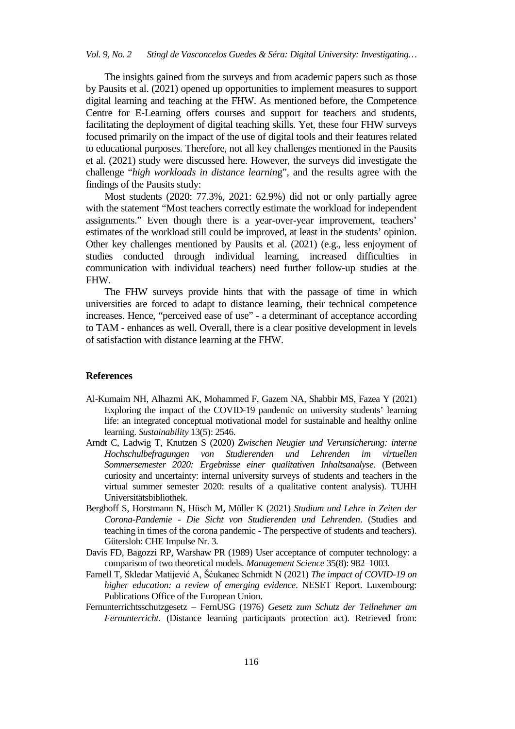The insights gained from the surveys and from academic papers such as those by Pausits et al. (2021) opened up opportunities to implement measures to support digital learning and teaching at the FHW. As mentioned before, the Competence Centre for E-Learning offers courses and support for teachers and students, facilitating the deployment of digital teaching skills. Yet, these four FHW surveys focused primarily on the impact of the use of digital tools and their features related to educational purposes. Therefore, not all key challenges mentioned in the Pausits et al. (2021) study were discussed here. However, the surveys did investigate the challenge "*high workloads in distance learnin*g", and the results agree with the findings of the Pausits study:

Most students (2020: 77.3%, 2021: 62.9%) did not or only partially agree with the statement "Most teachers correctly estimate the workload for independent assignments." Even though there is a year-over-year improvement, teachers' estimates of the workload still could be improved, at least in the students' opinion. Other key challenges mentioned by Pausits et al. (2021) (e.g., less enjoyment of studies conducted through individual learning, increased difficulties in communication with individual teachers) need further follow-up studies at the FHW.

The FHW surveys provide hints that with the passage of time in which universities are forced to adapt to distance learning, their technical competence increases. Hence, "perceived ease of use" - a determinant of acceptance according to TAM - enhances as well. Overall, there is a clear positive development in levels of satisfaction with distance learning at the FHW.

#### **References**

- Al-Kumaim NH, Alhazmi AK, Mohammed F, Gazem NA, Shabbir MS, Fazea Y (2021) Exploring the impact of the COVID-19 pandemic on university students' learning life: an integrated conceptual motivational model for sustainable and healthy online learning. *Sustainability* 13(5): 2546.
- Arndt C, Ladwig T, Knutzen S (2020) *Zwischen Neugier und Verunsicherung: interne Hochschulbefragungen von Studierenden und Lehrenden im virtuellen Sommersemester 2020: Ergebnisse einer qualitativen Inhaltsanalyse*. (Between curiosity and uncertainty: internal university surveys of students and teachers in the virtual summer semester 2020: results of a qualitative content analysis). TUHH Universitätsbibliothek.
- Berghoff S, Horstmann N, Hüsch M, Müller K (2021) *Studium und Lehre in Zeiten der Corona-Pandemie - Die Sicht von Studierenden und Lehrenden*. (Studies and teaching in times of the corona pandemic - The perspective of students and teachers). Gütersloh: CHE Impulse Nr. 3.
- Davis FD, Bagozzi RP, Warshaw PR (1989) User acceptance of computer technology: a comparison of two theoretical models. *Management Science* 35(8): 982–1003.
- Farnell T, Skledar Matijević A, Šćukanec Schmidt N (2021) *The impact of COVID-19 on higher education: a review of emerging evidence*. NESET Report. Luxembourg: Publications Office of the European Union.
- Fernunterrichtsschutzgesetz FernUSG (1976) *Gesetz zum Schutz der Teilnehmer am Fernunterricht*. (Distance learning participants protection act). Retrieved from: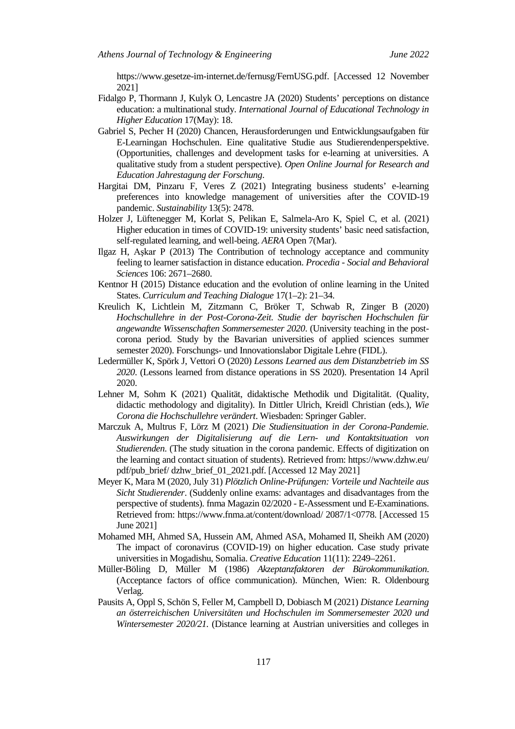[https://www.gesetze-im-internet.de/fernusg/FernUSG.pdf.](https://www.gesetze-im-internet.de/fernusg/FernUSG.pdf) [Accessed 12 November 2021]

- Fidalgo P, Thormann J, Kulyk O, Lencastre JA (2020) Students' perceptions on distance education: a multinational study. *International Journal of Educational Technology in Higher Education* 17(May): 18.
- Gabriel S, Pecher H (2020) Chancen, Herausforderungen und Entwicklungsaufgaben für E-Learningan Hochschulen. Eine qualitative Studie aus Studierendenperspektive. (Opportunities, challenges and development tasks for e-learning at universities. A qualitative study from a student perspective). *Open Online Journal for Research and Education Jahrestagung der Forschung*.
- Hargitai DM, Pinzaru F, Veres Z (2021) Integrating business students' e-learning preferences into knowledge management of universities after the COVID-19 pandemic. *Sustainability* 13(5): 2478.
- Holzer J, Lüftenegger M, Korlat S, Pelikan E, Salmela-Aro K, Spiel C, et al. (2021) Higher education in times of COVID-19: university students' basic need satisfaction, self-regulated learning, and well-being. *AERA* Open 7(Mar).
- Ilgaz H, Aşkar P (2013) The Contribution of technology acceptance and community feeling to learner satisfaction in distance education. *Procedia - Social and Behavioral Sciences* 106: 2671–2680.
- Kentnor H (2015) Distance education and the evolution of online learning in the United States. *Curriculum and Teaching Dialogue* 17(1–2): 21–34.
- Kreulich K, Lichtlein M, Zitzmann C, Bröker T, Schwab R, Zinger B (2020) *Hochschullehre in der Post-Corona-Zeit. Studie der bayrischen Hochschulen für angewandte Wissenschaften Sommersemester 2020*. (University teaching in the postcorona period. Study by the Bavarian universities of applied sciences summer semester 2020). Forschungs- und Innovationslabor Digitale Lehre (FIDL).
- Ledermüller K, Spörk J, Vettori O (2020) *Lessons Learned aus dem Distanzbetrieb im SS 2020*. (Lessons learned from distance operations in SS 2020). Presentation 14 April 2020.
- Lehner M, Sohm K (2021) Qualität, didaktische Methodik und Digitalität. (Quality, didactic methodology and digitality). In Dittler Ulrich, Kreidl Christian (eds.), *Wie Corona die Hochschullehre verändert*. Wiesbaden: Springer Gabler.
- Marczuk A, Multrus F, Lörz M (2021) *Die Studiensituation in der Corona-Pandemie. Auswirkungen der Digitalisierung auf die Lern- und Kontaktsituation von Studierenden*. (The study situation in the corona pandemic. Effects of digitization on the learning and contact situation of students). Retrieved from: https://www.dzhw.eu/ pdf/pub\_brief/ dzhw\_brief\_01\_2021.pdf. [Accessed 12 May 2021]
- Meyer K, Mara M (2020, July 31) *Plötzlich Online-Prüfungen: Vorteile und Nachteile aus Sicht Studierender*. (Suddenly online exams: advantages and disadvantages from the perspective of students). fnma Magazin 02/2020 - E-Assessment und E-Examinations. Retrieved from: https://www.fnma.at/content/download/ 2087/1<0778. [Accessed 15 June 2021]
- Mohamed MH, Ahmed SA, Hussein AM, Ahmed ASA, Mohamed II, Sheikh AM (2020) The impact of coronavirus (COVID-19) on higher education. Case study private universities in Mogadishu, Somalia. *Creative Education* 11(11): 2249–2261.
- Müller-Böling D, Müller M (1986) *Akzeptanzfaktoren der Bürokommunikation*. (Acceptance factors of office communication). München, Wien: R. Oldenbourg Verlag.
- Pausits A, Oppl S, Schön S, Feller M, Campbell D, Dobiasch M (2021) *Distance Learning an österreichischen Universitäten und Hochschulen im Sommersemester 2020 und Wintersemester 2020/21.* (Distance learning at Austrian universities and colleges in